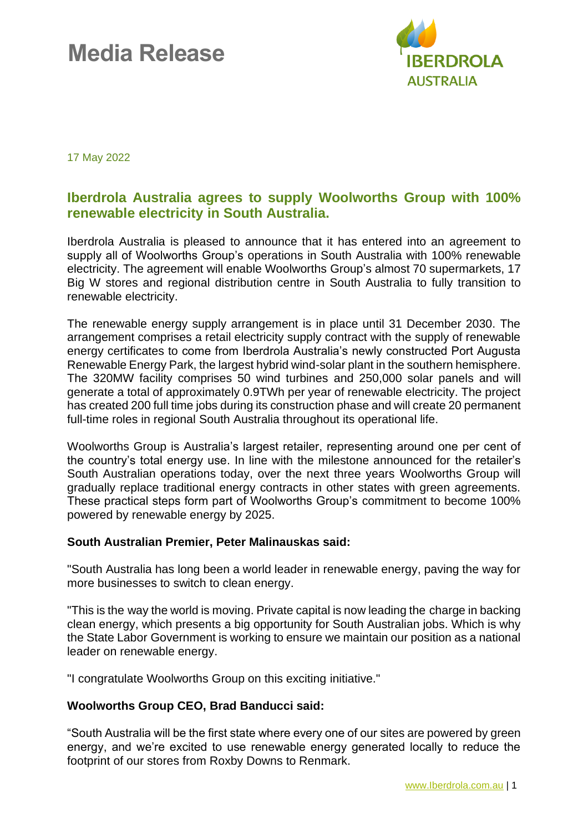# **Media Release**



17 May 2022

### **Iberdrola Australia agrees to supply Woolworths Group with 100% renewable electricity in South Australia.**

Iberdrola Australia is pleased to announce that it has entered into an agreement to supply all of Woolworths Group's operations in South Australia with 100% renewable electricity. The agreement will enable Woolworths Group's almost 70 supermarkets, 17 Big W stores and regional distribution centre in South Australia to fully transition to renewable electricity.

The renewable energy supply arrangement is in place until 31 December 2030. The arrangement comprises a retail electricity supply contract with the supply of renewable energy certificates to come from Iberdrola Australia's newly constructed Port Augusta Renewable Energy Park, the largest hybrid wind-solar plant in the southern hemisphere. The 320MW facility comprises 50 wind turbines and 250,000 solar panels and will generate a total of approximately 0.9TWh per year of renewable electricity. The project has created 200 full time jobs during its construction phase and will create 20 permanent full-time roles in regional South Australia throughout its operational life.

Woolworths Group is Australia's largest retailer, representing around one per cent of the country's total energy use. In line with the milestone announced for the retailer's South Australian operations today, over the next three years Woolworths Group will gradually replace traditional energy contracts in other states with green agreements. These practical steps form part of Woolworths Group's commitment to become 100% powered by renewable energy by 2025.

#### **South Australian Premier, Peter Malinauskas said:**

"South Australia has long been a world leader in renewable energy, paving the way for more businesses to switch to clean energy.

"This is the way the world is moving. Private capital is now leading the charge in backing clean energy, which presents a big opportunity for South Australian jobs. Which is why the State Labor Government is working to ensure we maintain our position as a national leader on renewable energy.

"I congratulate Woolworths Group on this exciting initiative."

#### **Woolworths Group CEO, Brad Banducci said:**

"South Australia will be the first state where every one of our sites are powered by green energy, and we're excited to use renewable energy generated locally to reduce the footprint of our stores from Roxby Downs to Renmark.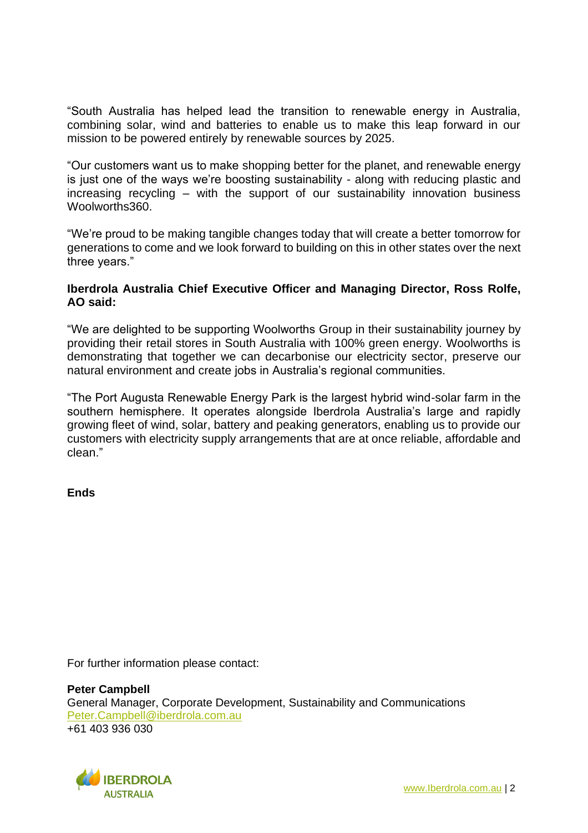"South Australia has helped lead the transition to renewable energy in Australia, combining solar, wind and batteries to enable us to make this leap forward in our mission to be powered entirely by renewable sources by 2025.

"Our customers want us to make shopping better for the planet, and renewable energy is just one of the ways we're boosting sustainability - along with reducing plastic and increasing recycling – with the support of our sustainability innovation business Woolworths360.

"We're proud to be making tangible changes today that will create a better tomorrow for generations to come and we look forward to building on this in other states over the next three years."

#### **Iberdrola Australia Chief Executive Officer and Managing Director, Ross Rolfe, AO said:**

"We are delighted to be supporting Woolworths Group in their sustainability journey by providing their retail stores in South Australia with 100% green energy. Woolworths is demonstrating that together we can decarbonise our electricity sector, preserve our natural environment and create jobs in Australia's regional communities.

"The Port Augusta Renewable Energy Park is the largest hybrid wind-solar farm in the southern hemisphere. It operates alongside Iberdrola Australia's large and rapidly growing fleet of wind, solar, battery and peaking generators, enabling us to provide our customers with electricity supply arrangements that are at once reliable, affordable and clean."

**Ends**

For further information please contact:

**Peter Campbell** General Manager, Corporate Development, Sustainability and Communications [Peter.Campbell@iberdrola.com.au](mailto:Peter.Campbell@iberdrola.com.au) +61 403 936 030